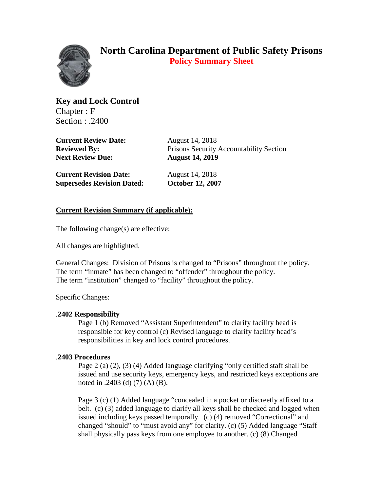

# **North Carolina Department of Public Safety Prisons Policy Summary Sheet**

**Key and Lock Control** Chapter : F Section : .2400

**Current Review Date:** August 14, 2018 **Next Review Due: August 14, 2019**

**Reviewed By:** Prisons Security Accountability Section

**Current Revision Date:** August 14, 2018 **Supersedes Revision Dated: October 12, 2007**

## **Current Revision Summary (if applicable):**

The following change(s) are effective:

All changes are highlighted.

General Changes: Division of Prisons is changed to "Prisons" throughout the policy. The term "inmate" has been changed to "offender" throughout the policy. The term "institution" changed to "facility" throughout the policy.

Specific Changes:

### .**2402 Responsibility**

Page 1 (b) Removed "Assistant Superintendent" to clarify facility head is responsible for key control (c) Revised language to clarify facility head's responsibilities in key and lock control procedures.

### .**2403 Procedures**

Page 2 (a) (2), (3) (4) Added language clarifying "only certified staff shall be issued and use security keys, emergency keys, and restricted keys exceptions are noted in .2403 (d) (7) (A) (B).

Page 3 (c) (1) Added language "concealed in a pocket or discreetly affixed to a belt. (c) (3) added language to clarify all keys shall be checked and logged when issued including keys passed temporally. (c) (4) removed "Correctional" and changed "should" to "must avoid any" for clarity. (c) (5) Added language "Staff shall physically pass keys from one employee to another. (c) (8) Changed